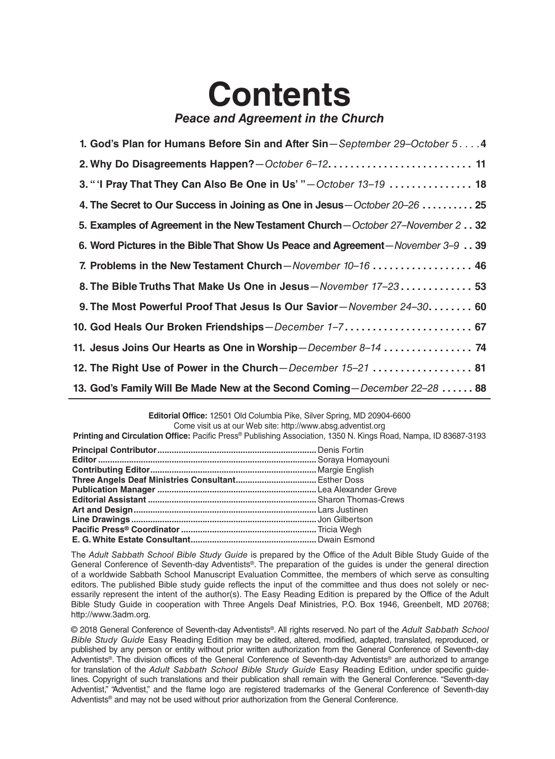## **Contents** *Peace and Agreement in the Church*

| 1. God's Plan for Humans Before Sin and After Sin-September 29-October 54       |
|---------------------------------------------------------------------------------|
|                                                                                 |
| 3. "I Pray That They Can Also Be One in Us' "-October 13-19  18                 |
| 4. The Secret to Our Success in Joining as One in Jesus-October 20-26  25       |
| 5. Examples of Agreement in the New Testament Church - October 27-November 232  |
| 6. Word Pictures in the Bible That Show Us Peace and Agreement-November 3-9. 39 |
| 7. Problems in the New Testament Church-November 10-16  46                      |
| 8. The Bible Truths That Make Us One in Jesus-November 17-23 53                 |
| 9. The Most Powerful Proof That Jesus Is Our Savior-November 24-30 60           |
| 10. God Heals Our Broken Friendships-December 1-7 67                            |
| 11. Jesus Joins Our Hearts as One in Worship-December 8-14  74                  |
| 12. The Right Use of Power in the Church-December 15-21  81                     |
| 13. God's Family Will Be Made New at the Second Coming-December 22-28  88       |

**Editorial Office:** 12501 Old Columbia Pike, Silver Spring, MD 20904-6600 Come visit us at our Web site: http://www.absg.adventist.org

**Printing and Circulation Office:** Pacific Press® Publishing Association, 1350 N. Kings Road, Nampa, ID 83687-3193

The *Adult Sabbath School Bible Study Guide* is prepared by the Office of the Adult Bible Study Guide of the General Conference of Seventh-day Adventists®. The preparation of the guides is under the general direction of a worldwide Sabbath School Manuscript Evaluation Committee, the members of which serve as consulting editors. The published Bible study guide reflects the input of the committee and thus does not solely or necessarily represent the intent of the author(s). The Easy Reading Edition is prepared by the Office of the Adult Bible Study Guide in cooperation with Three Angels Deaf Ministries, P.O. Box 1946, Greenbelt, MD 20768; http://www.3adm.org.

© 2018 General Conference of Seventh-day Adventists®. All rights reserved. No part of the *Adult Sabbath School Bible Study Guide* Easy Reading Edition may be edited, altered, modified, adapted, translated, reproduced, or published by any person or entity without prior written authorization from the General Conference of Seventh-day Adventists®. The division offices of the General Conference of Seventh-day Adventists® are authorized to arrange for translation of the *Adult Sabbath School Bible Study Guide* Easy Reading Edition, under specific guidelines. Copyright of such translations and their publication shall remain with the General Conference. "Seventh-day Adventist," "Adventist," and the flame logo are registered trademarks of the General Conference of Seventh-day Adventists® and may not be used without prior authorization from the General Conference.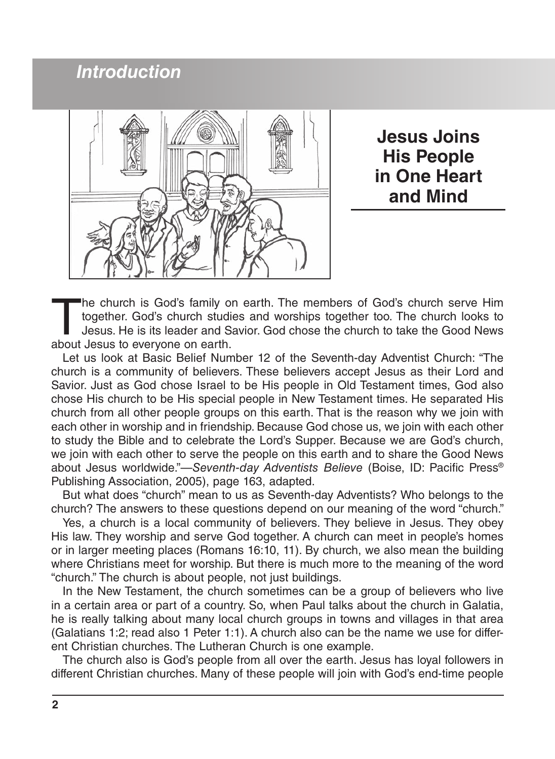## *Introduction*



**Jesus Joins His People in One Heart and Mind**

The church is God's family on earth. The members of God's church serve Him together. God's church studies and worships together too. The church looks to Jesus. He is its leader and Savior. God chose the church to take the together. God's church studies and worships together too. The church looks to Jesus. He is its leader and Savior. God chose the church to take the Good News about Jesus to everyone on earth.

Let us look at Basic Belief Number 12 of the Seventh-day Adventist Church: "The church is a community of believers. These believers accept Jesus as their Lord and Savior. Just as God chose Israel to be His people in Old Testament times, God also chose His church to be His special people in New Testament times. He separated His church from all other people groups on this earth. That is the reason why we join with each other in worship and in friendship. Because God chose us, we join with each other to study the Bible and to celebrate the Lord's Supper. Because we are God's church, we join with each other to serve the people on this earth and to share the Good News about Jesus worldwide."—*Seventh-day Adventists Believe* (Boise, ID: Pacific Press® Publishing Association, 2005), page 163, adapted.

But what does "church" mean to us as Seventh-day Adventists? Who belongs to the church? The answers to these questions depend on our meaning of the word "church."

Yes, a church is a local community of believers. They believe in Jesus. They obey His law. They worship and serve God together. A church can meet in people's homes or in larger meeting places (Romans 16:10, 11). By church, we also mean the building where Christians meet for worship. But there is much more to the meaning of the word "church." The church is about people, not just buildings.

In the New Testament, the church sometimes can be a group of believers who live in a certain area or part of a country. So, when Paul talks about the church in Galatia, he is really talking about many local church groups in towns and villages in that area (Galatians 1:2; read also 1 Peter 1:1). A church also can be the name we use for different Christian churches. The Lutheran Church is one example.

The church also is God's people from all over the earth. Jesus has loyal followers in different Christian churches. Many of these people will join with God's end-time people